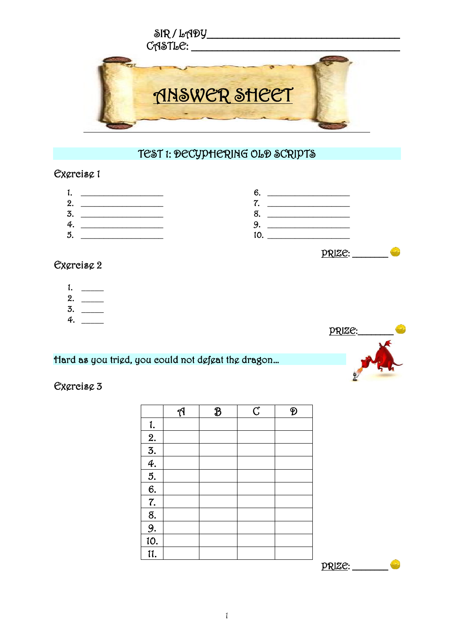

## TEST 1: DECYPHERING OLD SCRIPTS

#### Exercise 1

- 1. \_\_\_\_\_\_\_\_\_\_\_\_\_\_\_\_\_\_ 2. \_\_\_\_\_\_\_\_\_\_\_\_\_\_\_\_\_\_
- 3. \_\_\_\_\_\_\_\_\_\_\_\_\_\_\_\_\_\_
- 4. \_\_\_\_\_\_\_\_\_\_\_\_\_\_\_\_\_\_  $5.$
- $6.$   $\qquad$ 7. \_\_\_\_\_\_\_\_\_\_\_\_\_\_\_\_\_\_
- 8. \_\_\_\_\_\_\_\_\_\_\_\_\_\_\_\_\_\_
- 9. \_\_\_\_\_\_\_\_\_\_\_\_\_\_\_\_\_\_
- 10.

#### Exercise 2

- 1.  $\qquad$
- 2. \_\_\_\_\_
- $3.$
- 4. \_\_\_\_\_

### Hard as you tried, you could not defeat the dragon…

### Exercise 3

|                                    | $\mathfrak{N}$ | $\mathcal{B}$ | $\overline{C}$ | Đ |
|------------------------------------|----------------|---------------|----------------|---|
| 1.                                 |                |               |                |   |
|                                    |                |               |                |   |
|                                    |                |               |                |   |
|                                    |                |               |                |   |
|                                    |                |               |                |   |
| $\frac{2.}{3.}$<br>$\frac{4.}{6.}$ |                |               |                |   |
| $\overline{7}$ .                   |                |               |                |   |
| 8.                                 |                |               |                |   |
| $\frac{9}{4}$                      |                |               |                |   |
| 10.                                |                |               |                |   |
| 11.                                |                |               |                |   |
|                                    |                |               |                |   |



PRIZE: \_\_\_\_\_\_\_\_



1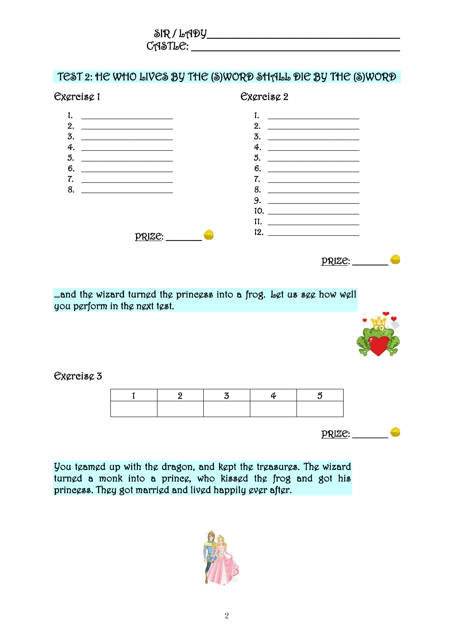| $\delta$ IR / LADY |  |
|--------------------|--|
| $C$ ASTL $C$ :     |  |

### TEST 2: HE WHO LIVES BY THE (S)WORD SHALL DIE BY THE (S)WORD



…and the wizard turned the princess into a frog. Let us see how well you perform in the next test.



Exercise 3

 $PRIZE:$ 

You teamed up with the dragon, and kept the treasures. The wizard turned a monk into a prince, who kissed the frog and got his princess. They got married and lived happily ever after.